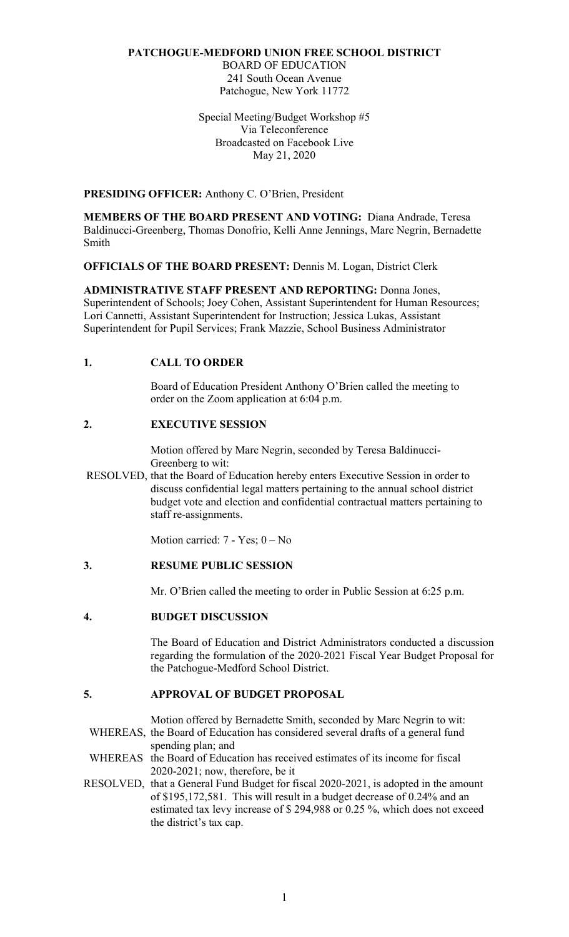#### **PATCHOGUE-MEDFORD UNION FREE SCHOOL DISTRICT**

BOARD OF EDUCATION 241 South Ocean Avenue Patchogue, New York 11772

Special Meeting/Budget Workshop #5 Via Teleconference Broadcasted on Facebook Live May 21, 2020

**PRESIDING OFFICER:** Anthony C. O'Brien, President

**MEMBERS OF THE BOARD PRESENT AND VOTING:** Diana Andrade, Teresa Baldinucci-Greenberg, Thomas Donofrio, Kelli Anne Jennings, Marc Negrin, Bernadette Smith

**OFFICIALS OF THE BOARD PRESENT:** Dennis M. Logan, District Clerk

**ADMINISTRATIVE STAFF PRESENT AND REPORTING:** Donna Jones, Superintendent of Schools; Joey Cohen, Assistant Superintendent for Human Resources; Lori Cannetti, Assistant Superintendent for Instruction; Jessica Lukas, Assistant Superintendent for Pupil Services; Frank Mazzie, School Business Administrator

## **1. CALL TO ORDER**

 order on the Zoom application at 6:04 p.m. Board of Education President Anthony O'Brien called the meeting to

## **2. EXECUTIVE SESSION**

Motion offered by Marc Negrin, seconded by Teresa Baldinucci-Greenberg to wit:

RESOLVED, that the Board of Education hereby enters Executive Session in order to discuss confidential legal matters pertaining to the annual school district budget vote and election and confidential contractual matters pertaining to staff re-assignments.

Motion carried: 7 - Yes; 0 – No

## **3. RESUME PUBLIC SESSION**

Mr. O'Brien called the meeting to order in Public Session at 6:25 p.m.

## **4. BUDGET DISCUSSION**

The Board of Education and District Administrators conducted a discussion regarding the formulation of the 2020-2021 Fiscal Year Budget Proposal for the Patchogue-Medford School District.

# **5. APPROVAL OF BUDGET PROPOSAL**

Motion offered by Bernadette Smith, seconded by Marc Negrin to wit: WHEREAS, the Board of Education has considered several drafts of a general fund spending plan; and

WHEREAS the Board of Education has received estimates of its income for fiscal 2020-2021; now, therefore, be it

RESOLVED, that a General Fund Budget for fiscal 2020-2021, is adopted in the amount of \$195,172,581. This will result in a budget decrease of 0.24% and an estimated tax levy increase of \$ 294,988 or 0.25 %, which does not exceed the district's tax cap.